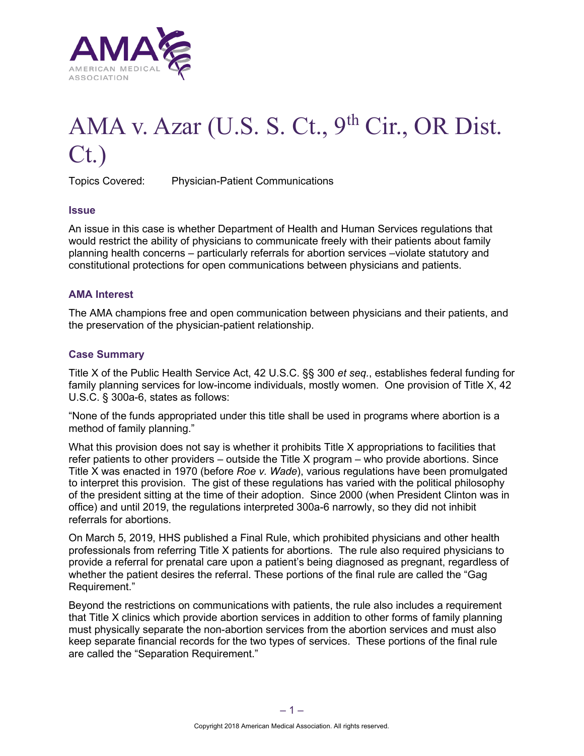

# AMA v. Azar (U.S. S. Ct., 9<sup>th</sup> Cir., OR Dist. Ct.)

Topics Covered: Physician-Patient Communications

## **Issue**

An issue in this case is whether Department of Health and Human Services regulations that would restrict the ability of physicians to communicate freely with their patients about family planning health concerns – particularly referrals for abortion services –violate statutory and constitutional protections for open communications between physicians and patients.

#### **AMA Interest**

The AMA champions free and open communication between physicians and their patients, and the preservation of the physician-patient relationship.

## **Case Summary**

Title X of the Public Health Service Act, 42 U.S.C. §§ 300 *et seq.*, establishes federal funding for family planning services for low-income individuals, mostly women. One provision of Title X, 42 U.S.C. § 300a-6, states as follows:

"None of the funds appropriated under this title shall be used in programs where abortion is a method of family planning."

What this provision does not say is whether it prohibits Title X appropriations to facilities that refer patients to other providers – outside the Title X program – who provide abortions. Since Title X was enacted in 1970 (before *Roe v. Wade*), various regulations have been promulgated to interpret this provision. The gist of these regulations has varied with the political philosophy of the president sitting at the time of their adoption. Since 2000 (when President Clinton was in office) and until 2019, the regulations interpreted 300a-6 narrowly, so they did not inhibit referrals for abortions.

On March 5, 2019, HHS published a Final Rule, which prohibited physicians and other health professionals from referring Title X patients for abortions. The rule also required physicians to provide a referral for prenatal care upon a patient's being diagnosed as pregnant, regardless of whether the patient desires the referral. These portions of the final rule are called the "Gag Requirement."

Beyond the restrictions on communications with patients, the rule also includes a requirement that Title X clinics which provide abortion services in addition to other forms of family planning must physically separate the non-abortion services from the abortion services and must also keep separate financial records for the two types of services. These portions of the final rule are called the "Separation Requirement."